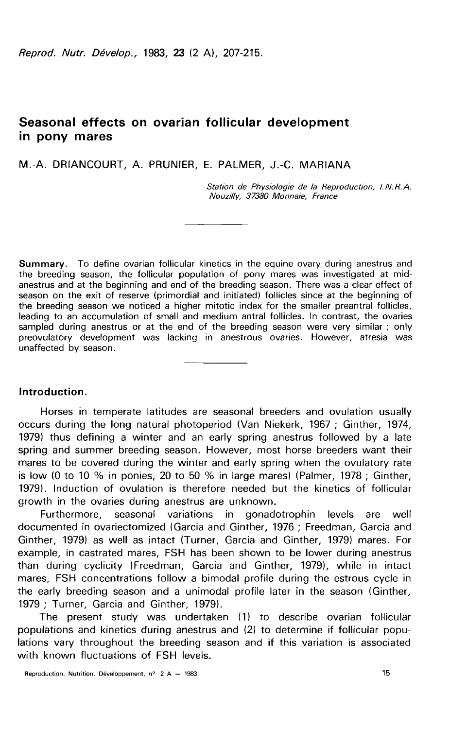# Seasonal effects on ovarian follicular development in pony mares

M.-A. DRIANCOURT, A. PRUNIER, E. PALMER, J.-C. MARIANA

Station de Physiologie de la Reproduction, I.N.R.A. Nouzilly, 37380 Monnaie, France

**Summary.** To define ovarian follicular kinetics in the equine ovary during anestrus and the breeding season, the follicular population of pony mares was investigated at midanestrus and at the beginning and end of the breeding season. There was a clear effect of season on the exit of reserve (primordial and initiated) follicles since at the beginning of the breeding season we noticed a higher mitotic index for the smaller preantral follicles, leading to an accumulation of small and medium antral follicles. In contrast, the ovaries sampled during anestrus or at the end of the breeding season were very similar ; only preovulatory development was lacking in anestrous ovaries. However, atresia was unaffected by season.

#### Introduction.

Horses in temperate latitudes are seasonal breeders and ovulation usually occurs during the long natural photoperiod (Van Niekerk, 1967 ; Ginther, 1974, 1979) thus defining a winter and an early spring anestrus followed by a late spring and summer breeding season. However, most horse breeders want their mares to be covered during the winter and early spring when the ovulatory rate is low (0 to 10 % in ponies, 20 to 50 % in large mares) (Palmer, 1978 ; Ginther, 1979). Induction of ovulation is therefore needed but the kinetics of follicular growth in the ovaries during anestrus are unknown.

Furthermore, seasonal variations in gonadotrophin levels are well documented in ovariectomized (Garcia and Ginther, 1976 ; Freedman, Garcia and Ginther, 1979) as well as intact (Turner, Garcia and Ginther, 1979) mares. For example, in castrated mares, FSH has been shown to be lower during anestrus than during cyclicity (Freedman, Garcia and Ginther, 1979), while in intact mares, FSH concentrations follow a bimodal profile during the estrous cycle in the early breeding season and a unimodal profile later in the season (Ginther, 1979 ; Turner, Garcia and Ginther, 1979).

The present study was undertaken (1) to describe ovarian follicular populations and kinetics during anestrus and (2) to determine if follicular populations vary throughout the breeding season and if this variation is associated with known fluctuations of FSH levels.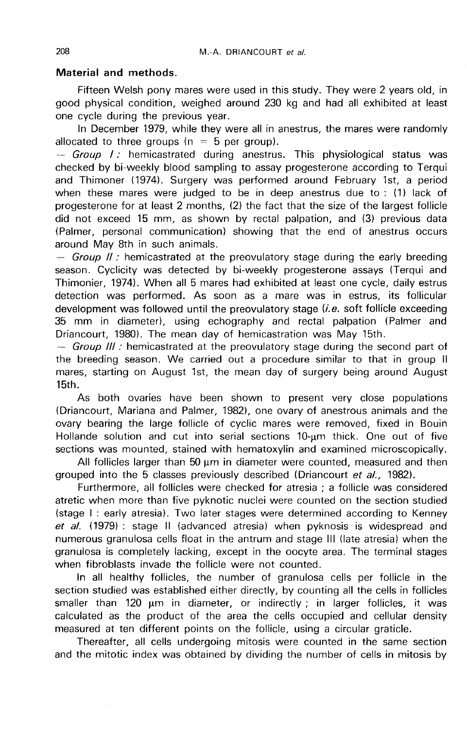## Material and methods.

Fifteen Welsh pony mares were used in this study. They were 2 years old, in good physical condition, weighed around 230 kg and had all exhibited at least one cycle during the previous year.

In December 1979, while they were all in anestrus, the mares were randomly allocated to three groups ( $n = 5$  per group).

 $-$  Group I : hemicastrated during anestrus. This physiological status was checked by bi-weekly blood sampling to assay progesterone according to Terqui and Thimoner (1974). Surgery was performed around February 1st, a period when these mares were judged to be in deep anestrus due to : (1) lack of progesterone for at least 2 months, (2) the fact that the size of the largest follicle did not exceed 15 mm, as shown by rectal palpation, and (3) previous data (Palmer, personal communication) showing that the end of anestrus occurs around May 8th in such animals.

 $-$  Group II : hemicastrated at the preovulatory stage during the early breeding season. Cyclicity was detected by bi-weekly progesterone assays (Terqui and Thimonier, 1974). When all 5 mares had exhibited at least one cycle, daily estrus detection was performed. As soon as a mare was in estrus, its follicular development was followed until the preovulatory stage  $(i.e.$  soft follicle exceeding 35 mm in diameter), using echography and rectal palpation (Palmer and Driancourt, 1980). The mean day of hemicastration was May 15th.

 $-$  Group III : hemicastrated at the preovulatory stage during the second part of the breeding season. We carried out a procedure similar to that in group 11 mares, starting on August 1st, the mean day of surgery being around August 15th.

As both ovaries have been shown to present very close populations (Driancourt, Mariana and Palmer, 1982), one ovary of anestrous animals and the ovary bearing the large follicle of cyclic mares were removed, fixed in Bouin Hollande solution and cut into serial sections 10-um thick. One out of five sections was mounted, stained with hematoxylin and examined microscopically.

All follicles larger than 50 um in diameter were counted, measured and then grouped into the 5 classes previously described (Driancourt et al., 1982).

Furthermore, all follicles were checked for atresia ; a follicle was considered atretic when more than five pyknotic nuclei were counted on the section studied (stage I : early atresia). Two later stages were determined according to Kenney et al. (1979) : stage II (advanced atresia) when pyknosis is widespread and numerous granulosa cells float in the antrum and stage III (late atresia) when the granulosa is completely lacking, except in the oocyte area. The terminal stages when fibroblasts invade the follicle were not counted.

In all healthy follicles, the number of granulosa cells per follicle in the section studied was established either directly, by counting all the cells in follicles smaller than 120 um in diameter, or indirectly ; in larger follicles, it was calculated as the product of the area the cells occupied and cellular density measured at ten different points on the follicle, using a circular graticle.

Thereafter, all cells undergoing mitosis were counted in the same section and the mitotic index was obtained by dividing the number of cells in mitosis by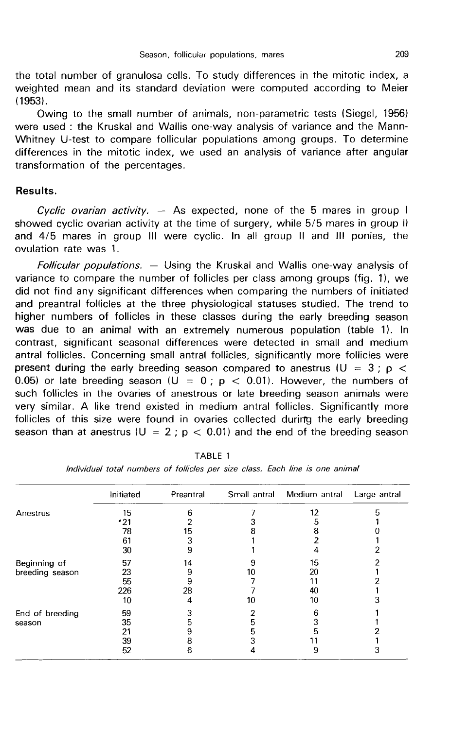the total number of granulosa cells. To study differences in the mitotic index, a weighted mean and its standard deviation were computed according to Meier (1953).

Owing to the small number of animals, non-parametric tests (Siegel, 1956) were used : the Kruskal and Wallis one-way analysis of variance and the Mann-Whitney U-test to compare follicular populations among groups. To determine differences in the mitotic index, we used an analysis of variance after angular transformation of the percentages.

### Results.

Cyclic ovarian activity.  $-$  As expected, none of the 5 mares in group I showed cyclic ovarian activity at the time of surgery, while 5/5 mares in group 11 and 4/5 mares in group III were cyclic. In all group II and III ponies, the ovulation rate was 1.

*Follicular populations. —* Using the Kruskal and Wallis one-way analysis of variance to compare the number of follicles per class among groups (fig. 11, we did not find any significant differences when comparing the numbers of initiated and preantral follicles at the three physiological statuses studied. The trend to higher numbers of follicles in these classes during the early breeding season was due to an animal with an extremely numerous population (table 1). In contrast, significant seasonal differences were detected in small and medium antral follicles. Concerning small antral follicles, significantly more follicles were present during the early breeding season compared to anestrus ( $U = 3$ ; p < 0.05) or late breeding season ( $U = 0$ ;  $p < 0.01$ ). However, the numbers of such follicles in the ovaries of anestrous or late breeding season animals were very similar. A like trend existed in medium antral follicles. Significantly more follicles of this size were found in ovaries collected during the early breeding follicles of this size were found in ovaries collected during the early breeding<br>season than at anestrus (U = 2 ; p  $<\,$  0.01) and the end of the breeding season

|                 | Initiated | Preantral | Small antral | Medium antral | Large antral |
|-----------------|-----------|-----------|--------------|---------------|--------------|
| Anestrus        | 15        | 6         |              | 12            |              |
|                 | 21 •      |           |              | b             |              |
|                 | 78        | 15        |              |               |              |
|                 | 61        | 3         |              |               |              |
|                 | 30        | 9         |              |               |              |
| Beginning of    | 57        | 14        |              | 15            |              |
| breeding season | 23        | 9         | 10           | 20            |              |
|                 | 55        | 9         |              |               |              |
|                 | 226       | 28        |              | 40            |              |
|                 | 10        |           | 10           | 10            |              |
| End of breeding | 59        |           |              | 6             |              |
| season          | 35        | 5         | 5            |               |              |
|                 | 21        | 9         | 5            |               |              |
|                 | 39        | 8         |              |               |              |
|                 | 52        | 6         |              | 9             |              |

TABLE 1

Individual total numbers of follicles per size class. Each line is one animal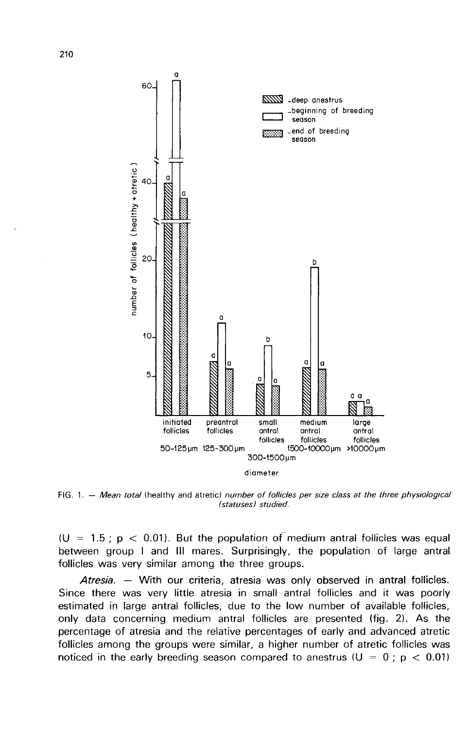

FIG. 1. - Mean total (healthy and atretic) number of follicles per size class at the three physiological (statuses) studied.

(U = 1.5 ;  $p$  < 0.01). But the population of medium antral follicles was equal between group I and III mares. Surprisingly, the population of large antral follicles was very similar among the three groups.

Atresia. — With our criteria, atresia was only observed in antral follicles. Since there was very little atresia in small antral follicles and it was poorly estimated in large antral follicles, due to the low number of available follicles, only data concerning medium antral follicles are presented (fig. 2). As the percentage of atresia and the relative percentages of early and advanced atretic follicles among the groups were similar, a higher number of atretic follicles was noticed in the early breeding season compared to anestrus (U =  $0$  ;  $\mathsf{p}$   $<$  0.01)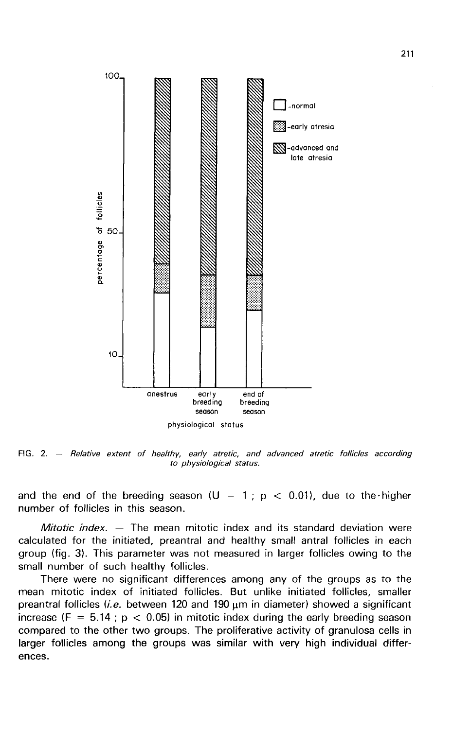

FIG. 2.  $-$  Relative extent of healthy, early atretic, and advanced atretic follicles according to physiological status.

and the end of the breeding season (U = 1;  $p$  < 0.01), due to the higher number of follicles in this season.

Mitotic index.  $-$  The mean mitotic index and its standard deviation were calculated for the initiated, preantral and healthy small antral follicles in each group (fig. 3). This parameter was not measured in larger follicles owing to the small number of such healthy follicles.

There were no significant differences among any of the groups as to the mean mitotic index of initiated follicles. But unlike initiated follicles, smaller preantral follicles (i.e. between 120 and 190  $\mu$ m in diameter) showed a significant increase ( $F = 5.14$ ;  $p < 0.05$ ) in mitotic index during the early breeding season compared to the other two groups. The proliferative activity of granulosa cells in larger follicles among the groups was similar with very high individual differences.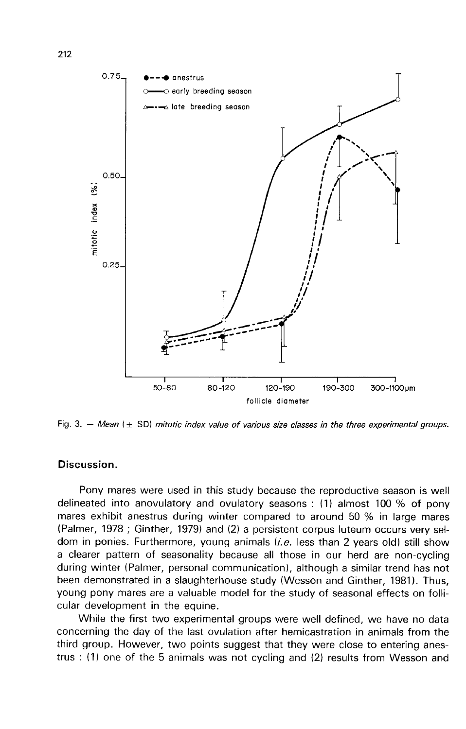

Fig. 3. - Mean  $(\pm$  SD) mitotic index value of various size classes in the three experimental groups.

# Discussion.

Pony mares were used in this study because the reproductive season is well delineated into anovulatory and ovulatory seasons : (1) almost 100 % of pony mares exhibit anestrus during winter compared to around 50 % in large mares (Palmer, 1978 ; Ginther, 1979) and (2) a persistent corpus luteum occurs very seldom in ponies. Furthermore, young animals  $(i.e.$  less than 2 years old) still show a clearer pattern of seasonality because all those in our herd are non-cycling during winter (Palmer, personal communication), although a similar trend has not been demonstrated in a slaughterhouse study (Wesson and Ginther, 1981). Thus, young pony mares are a valuable model for the study of seasonal effects on follicular development in the equine.

While the first two experimental groups were well defined, we have no data concerning the day of the last ovulation after hemicastration in animals from the third group. However, two points suggest that they were close to entering anestrus : (1) one of the 5 animals was not cycling and (2) results from Wesson and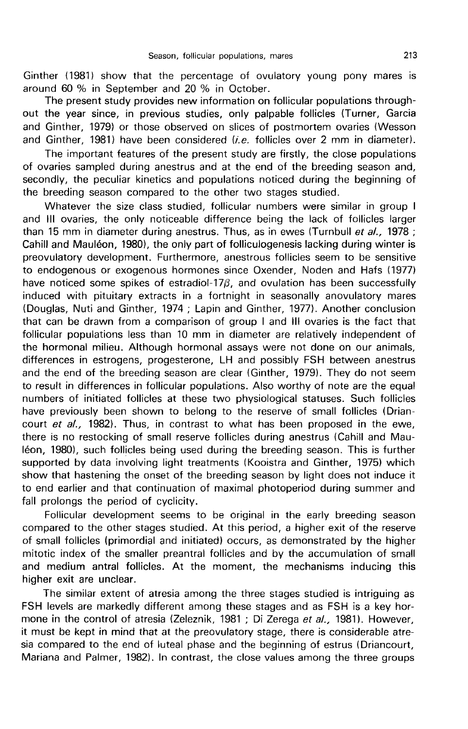Ginther (1981) show that the percentage of ovulatory young pony mares is around 60 % in September and 20 % in October.

The present study provides new information on follicular populations through out the year since, in previous studies, only palpable follicles (Turner, Garcia and Ginther, 1979) or those observed on slices of postmortem ovaries (Wesson and Ginther, 1981) have been considered  $(i.e.$  follicles over 2 mm in diameter).

The important features of the present study are firstly, the close populations of ovaries sampled during anestrus and at the end of the breeding season and, secondly, the peculiar kinetics and populations noticed during the beginning of the breeding season compared to the other two stages studied.

Whatever the size class studied, follicular numbers were similar in group I and III ovaries, the only noticeable difference being the lack of follicles larger than 15 mm in diameter during anestrus. Thus, as in ewes (Turnbull et al., 1978; Cahill and Mauleon, 1980), the only part of folliculogenesis lacking during winter is preovulatory development. Furthermore, anestrous follicles seem to be sensitive to endogenous or exogenous hormones since Oxender, Noden and Hafs (1977) have noticed some spikes of estradiol-17 $\beta$ , and ovulation has been successfully induced with pituitary extracts in a fortnight in seasonally anovulatory mares (Douglas, Nuti and Ginther, 1974 ; Lapin and Ginther, 1977). Another conclusion that can be drawn from a comparison of group I and III ovaries is the fact that follicular populations less than 10 mm in diameter are relatively independent of the hormonal milieu. Although hormonal assays were not done on our animals, differences in estrogens, progesterone, LH and possibly FSH between anestrus and the end of the breeding season are clear (Ginther, 1979). They do not seem to result in differences in follicular populations. Also worthy of note are the equal numbers of initiated follicles at these two physiological statuses. Such follicles have previously been shown to belong to the reserve of small follicles (Driancourt et al., 1982). Thus, in contrast to what has been proposed in the ewe, there is no restocking of small reserve follicles during anestrus (Cahill and Mau-16on, 1980), such follicles being used during the breeding season. This is further supported by data involving light treatments (Kooistra and Ginther, 1975) which show that hastening the onset of the breeding season by light does not induce it to end earlier and that continuation of maximal photoperiod during summer and fall prolongs the period of cyclicity.

Follicular development seems to be original in the early breeding season compared to the other stages studied. At this period, a higher exit of the reserve of small follicles (primordial and initiated) occurs, as demonstrated by the higher mitotic index of the smaller preantral follicles and by the accumulation of small and medium antral follicles. At the moment, the mechanisms inducing this higher exit are unclear.

The similar extent of atresia among the three stages studied is intriguing as FSH levels are markedly different among these stages and as FSH is a key hormone in the control of atresia (Zeleznik, 1981 ; Di Zerega et al., 1981). However, it must be kept in mind that at the preovulatory stage, there is considerable atresia compared to the end of luteal phase and the beginning of estrus (Driancourt, Mariana and Palmer, 1982). In contrast, the close values among the three groups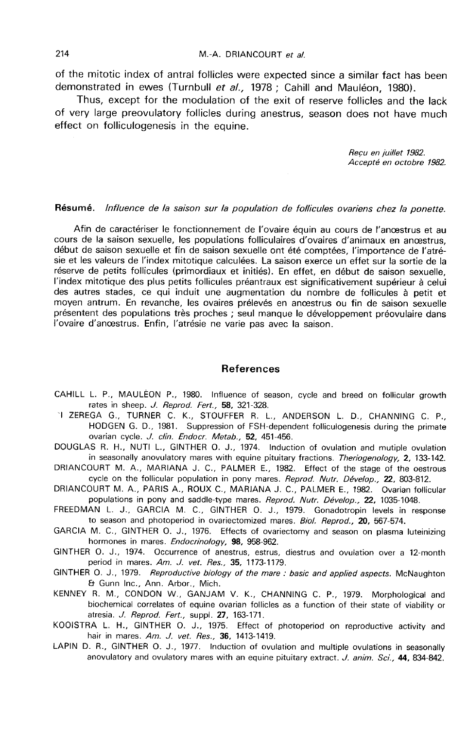of the mitotic index of antral follicles were expected since a similar fact has been demonstrated in ewes (Turnbull et al., 1978 ; Cahill and Mauléon, 1980).

Thus, except for the modulation of the exit of reserve follicles and the lack of very large preovulatory follicles during anestrus, season does not have much effect on folliculogenesis in the equine.

Reçu en juillet 1982.<br>Accepté en octobre 1982.

# Résumé. Influence de la saison sur la population de follicules ovariens chez la ponette.

Afin de caractériser le fonctionnement de l'ovaire équin au cours de l'anoestrus et au cours de la saison sexuelle, les populations folliculaires d'ovaires d'animaux en anoestrus, début de saison sexuelle et fin de saison sexuelle ont été comptées, l'importance de l'atrésie et les valeurs de l'index mitotique calculées. La saison exerce un effet sur la sortie de la réserve de petits follicules (primordiaux et initiés). En effet, en début de saison sexuelle, l'index mitotique des plus petits follicules préantraux est significativement supérieur à celui des autres stades, ce qui induit une augmentation du nombre de follicules à petit et moyen antrum. En revanche, les ovaires prélevés en anoestrus ou fin de saison sexuelle présentent des populations très proches ; seul manque le développement préovulaire dans l'ovaire d'anoestrus. Enfin, l'atrésie ne varie pas avec la saison.

#### References

- CAHILL L. P., MAULEON P., 1980. Influence of season, cycle and breed on follicular growth rates in sheep. *J. Reprod. Fert.*, **58,** 321-328.<br>1 ZEREGA G., TURNER C. K., STOUFFER R. L., ANDERSON L. D., CHANNING C. P.
- HODGEN G. D., 1981. Suppression of FSH-dependent folliculogenesis during the primate ovarian cycle. J. clin. Endocr. Metab., 52, 451-456.
- DOUGLAS R. H., NUTI L., GINTHER O. J., 1974. Induction of ovulation and mutiple ovulation in seasonally anovulatory mares with equine pituitary fractions. Theriogenology, 2, 133-142.
- DRIANCOURT M. A., MARIANA J. C., PALMER E., 1982. Effect of the stage of the oestrous cycle on the follicular population in pony mares. Reprod. Nutr. Dévelop., 22, 803-812.
- DRIANCOURT M. A., PARIS A., ROUX C., MARIANA J. C., PALMER E., 1982. Ovarian follicular populations in pony and saddle-type mares. Reprod. Nutr. Dévelop., 22, 1035-1048.
- FREEDMAN L. J., GARCIA M. C., GINTHER 0. J., 1979. Gonadotropin levels in response to season and photoperiod in ovariectomized mares. Biol. Reprod., 20, 567-574.
- GARCIA M. C., GINTHER 0. J., 1976. Effects of ovariectomy and season on plasma luteinizing hormones in mares. Endocrinology, 98, 958-962.
- GINTHER 0. J., 1974. Occurrence of anestrus, estrus, diestrus and ovulation over a 12-month period in mares. Am. J. vet. Res., 35, 1173-1179.
- GINTHER O. J., 1979. *Reproductive biology of the mare : basic and applied aspects.* McNaughton & Gunn Inc., Ann. Arbor., Mich.
- KENNEY R. M., CONDON W., GANJAM V. K., CHANNING C. P., 1979. Morphological and biochemical correlates of equine ovarian follicles as a function of their state of viability or atresia. J. Reprod. Fert., suppl. 27, 163-171.
- KOOISTRA L. H., GINTHER 0. J., 1975. Effect of photoperiod on reproductive activity and hair in mares. Am. J. vet. Res., 36, 1413-1419.
- LAPIN D. R., GINTHER O. J., 1977. Induction of ovulation and multiple ovulations in seasonally anovulatory and ovulatory mares with an equine pituitary extract. J. anim. Sci., 44, 834-842.